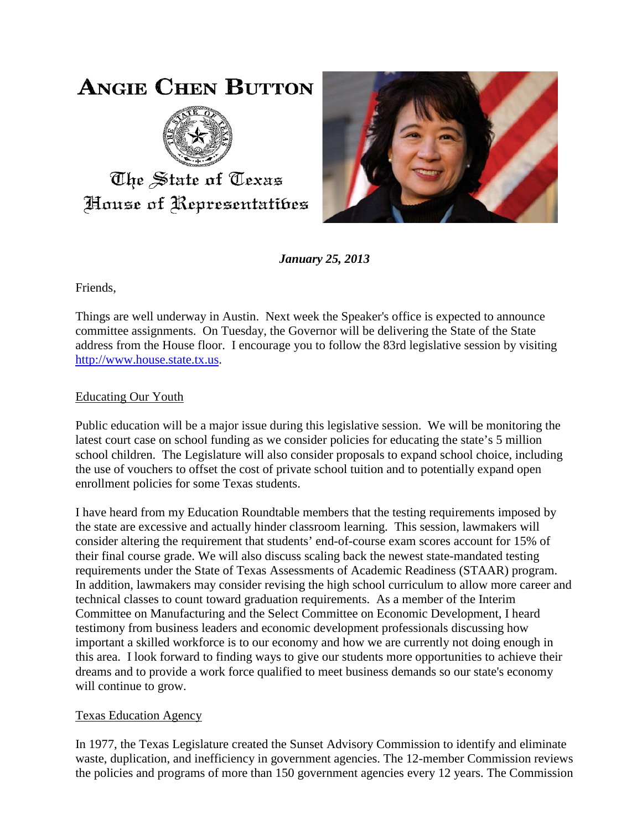## **ANGIE CHEN BUTTON**



## The State of Texas House of Representatibes



*January 25, 2013*

Friends,

Things are well underway in Austin. Next week the Speaker's office is expected to announce committee assignments. On Tuesday, the Governor will be delivering the State of the State address from the House floor. I encourage you to follow the 83rd legislative session by visiting [http://www.house.state.tx.us.](http://www.house.state.tx.us/)

## Educating Our Youth

Public education will be a major issue during this legislative session. We will be monitoring the latest court case on school funding as we consider policies for educating the state's 5 million school children. The Legislature will also consider proposals to expand school choice, including the use of vouchers to offset the cost of private school tuition and to potentially expand open enrollment policies for some Texas students.

I have heard from my Education Roundtable members that the testing requirements imposed by the state are excessive and actually hinder classroom learning. This session, lawmakers will consider altering the requirement that students' end-of-course exam scores account for 15% of their final course grade. We will also discuss scaling back the newest state-mandated testing requirements under the State of Texas Assessments of Academic Readiness (STAAR) program. In addition, lawmakers may consider revising the high school curriculum to allow more career and technical classes to count toward graduation requirements. As a member of the Interim Committee on Manufacturing and the Select Committee on Economic Development, I heard testimony from business leaders and economic development professionals discussing how important a skilled workforce is to our economy and how we are currently not doing enough in this area. I look forward to finding ways to give our students more opportunities to achieve their dreams and to provide a work force qualified to meet business demands so our state's economy will continue to grow.

## Texas Education Agency

In 1977, the Texas Legislature created the Sunset Advisory Commission to identify and eliminate waste, duplication, and inefficiency in government agencies. The 12-member Commission reviews the policies and programs of more than 150 government agencies every 12 years. The Commission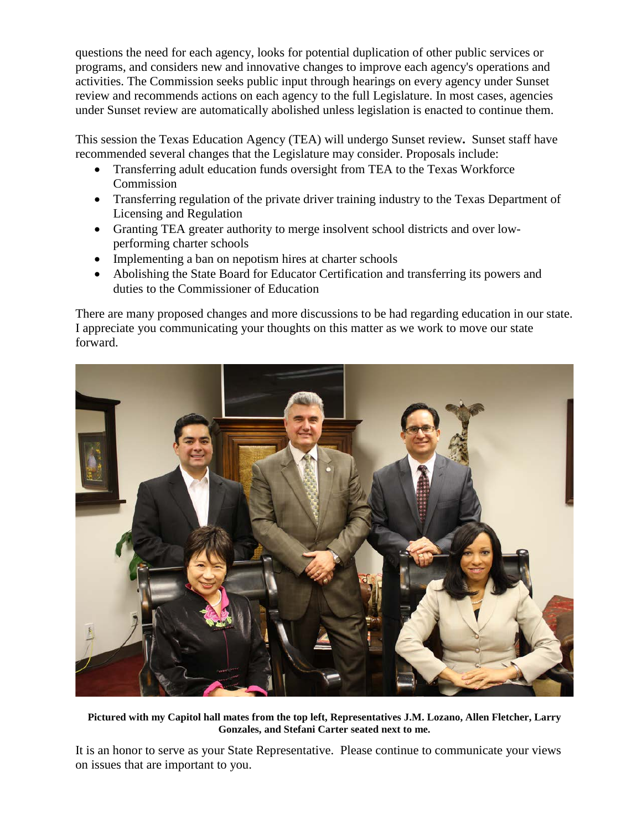questions the need for each agency, looks for potential duplication of other public services or programs, and considers new and innovative changes to improve each agency's operations and activities. The Commission seeks public input through hearings on every agency under Sunset review and recommends actions on each agency to the full Legislature. In most cases, agencies under Sunset review are automatically abolished unless legislation is enacted to continue them.

This session the Texas Education Agency (TEA) will undergo Sunset review**.** Sunset staff have recommended several changes that the Legislature may consider. Proposals include:

- Transferring adult education funds oversight from TEA to the Texas Workforce Commission
- Transferring regulation of the private driver training industry to the Texas Department of Licensing and Regulation
- Granting TEA greater authority to merge insolvent school districts and over lowperforming charter schools
- Implementing a ban on nepotism hires at charter schools
- Abolishing the State Board for Educator Certification and transferring its powers and duties to the Commissioner of Education

There are many proposed changes and more discussions to be had regarding education in our state. I appreciate you communicating your thoughts on this matter as we work to move our state forward.



**Pictured with my Capitol hall mates from the top left, Representatives J.M. Lozano, Allen Fletcher, Larry Gonzales, and Stefani Carter seated next to me.**

It is an honor to serve as your State Representative. Please continue to communicate your views on issues that are important to you.